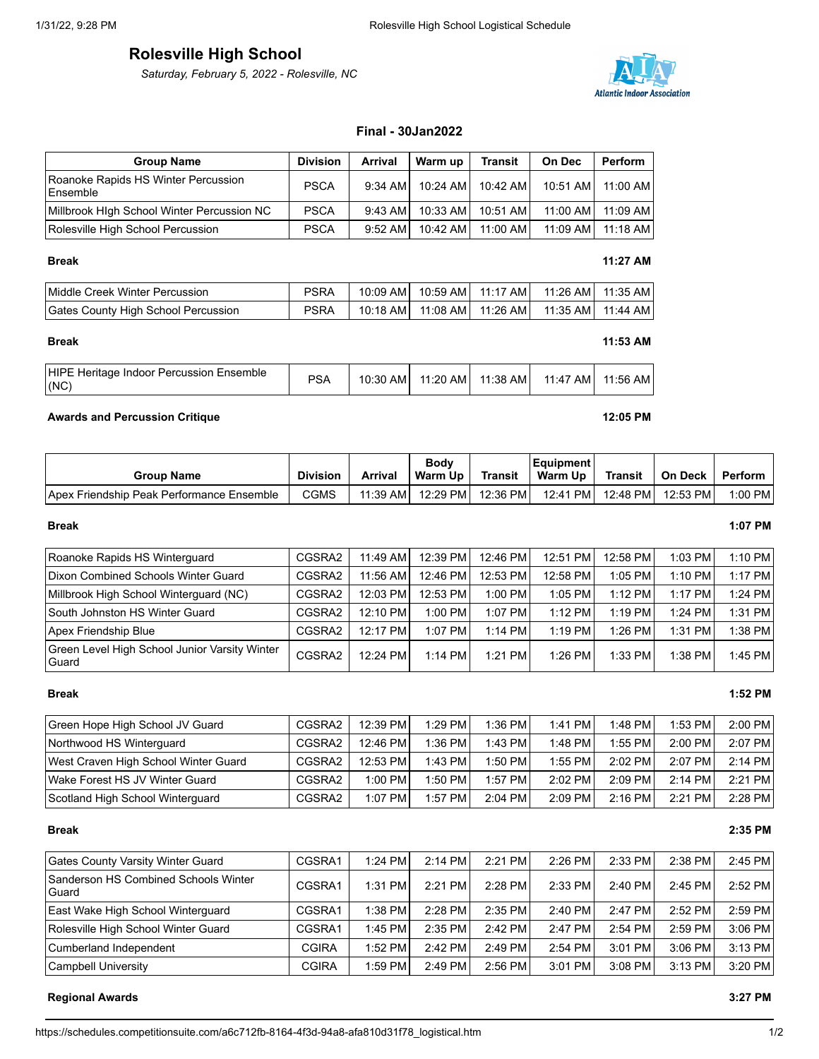# **Rolesville High School**

*Saturday, February 5, 2022 - Rolesville, NC*



## **Final - 30Jan2022**

| <b>Group Name</b>                               | <b>Division</b> | Arrival   | Warm up    | <b>Transit</b> | <b>On Dec</b> | Perform             |
|-------------------------------------------------|-----------------|-----------|------------|----------------|---------------|---------------------|
| Roanoke Rapids HS Winter Percussion<br>Ensemble | <b>PSCA</b>     | $9:34$ AM | $10:24$ AM | 10:42 AM       | 10:51 AM      | 11:00 AM            |
| Millbrook High School Winter Percussion NC      | <b>PSCA</b>     | $9:43$ AM | 10:33 AM   | 10:51 AM       | 11:00 AM      | 11:09 AM            |
| Rolesville High School Percussion               | <b>PSCA</b>     | $9:52$ AM | 10:42 AM   | 11:00 AM       |               | 11:09 AM   11:18 AM |

### **Break 11:27 AM**

| Middle Creek Winter Percussion      | <b>PSRA</b> |  | 10:09 AM   10:59 AM   11:17 AM   11:26 AM   11:35 AM |  |
|-------------------------------------|-------------|--|------------------------------------------------------|--|
| Gates County High School Percussion | PSRA        |  | _10:18 AML_11:08 AML_11:26 AML__11:35 AML_11:44 AML  |  |

| <b>HIPE Heritage Indoor Percussion Ensemble</b><br>(NC) | <b>PSA</b> | 10:30 AM | 11:20 AM | 11:38 AM | 11:47 AM | 11:56 AM |
|---------------------------------------------------------|------------|----------|----------|----------|----------|----------|

**Break 11:53 AM**

## **Awards and Percussion Critique 12:05 PM**

| <b>Group Name</b>                         | <b>Division</b> | Arrival    | <b>Body</b><br>Warm Up | Transit  | Equipment<br>Warm Up | Transit  | On Deck  | Perform   |
|-------------------------------------------|-----------------|------------|------------------------|----------|----------------------|----------|----------|-----------|
| Apex Friendship Peak Performance Ensemble | CGMS            | $11:39$ AM | 12:29 PM               | 12:36 PM | 12:41 PM             | 12:48 PM | 12:53 PM | $1:00$ PM |

### **Break 1:07 PM**

| Roanoke Rapids HS Winterguard                          | CGSRA2 | $11:49$ AM | 12:39 PM  | 12:46 PM  | 12:51 PM  | 12:58 PM  | $1:03$ PM | 1:10 PM   |
|--------------------------------------------------------|--------|------------|-----------|-----------|-----------|-----------|-----------|-----------|
| Dixon Combined Schools Winter Guard                    | CGSRA2 | 11:56 AM   | 12:46 PM  | 12:53 PM  | 12:58 PM  | $1:05$ PM | $1:10$ PM | $1:17$ PM |
| Millbrook High School Winterguard (NC)                 | CGSRA2 | 12:03 PM   | 12:53 PM  | $1:00$ PM | $1:05$ PM | $1:12$ PM | $1:17$ PM | $1:24$ PM |
| South Johnston HS Winter Guard                         | CGSRA2 | 12:10 PM   | $1:00$ PM | $1:07$ PM | $1:12$ PM | $1:19$ PM | $1:24$ PM | 1:31 PM   |
| Apex Friendship Blue                                   | CGSRA2 | 12:17 PM   | $1:07$ PM | $1:14$ PM | $1:19$ PM | $1:26$ PM | $1:31$ PM | 1:38 PMI  |
| Green Level High School Junior Varsity Winter<br>Guard | CGSRA2 | 12:24 PM   | $1:14$ PM | $1:21$ PM | $1:26$ PM | $1:33$ PM | $1:38$ PM | 1:45 PM   |

### **Break 1:52 PM**

| Green Hope High School JV Guard      | CGSRA2 | 12:39 PM  | $1:29$ PM | 1:36 PM   | $1:41$ PM | 1:48 PM   | 1:53 PMI  | $2:00$ PM |
|--------------------------------------|--------|-----------|-----------|-----------|-----------|-----------|-----------|-----------|
| Northwood HS Winterguard             | CGSRA2 | 12:46 PM  | $1:36$ PM | $1:43$ PM | $1:48$ PM | $1:55$ PM | $2:00$ PM | 2:07 PM   |
| West Craven High School Winter Guard | CGSRA2 | 12:53 PM  | $1:43$ PM | $1:50$ PM | $1:55$ PM | $2:02$ PM | $2:07$ PM | $2:14$ PM |
| Wake Forest HS JV Winter Guard       | CGSRA2 | $1:00$ PM | $1:50$ PM | $1:57$ PM | $2:02$ PM | $2:09$ PM | $2:14$ PM | $2:21$ PM |
| Scotland High School Winterguard     | CGSRA2 | $1:07$ PM | $1:57$ PM | $2:04$ PM | $2:09$ PM | $2:16$ PM | $2:21$ PM | 2:28 PM   |

### **Break 2:35 PM**

| <b>Gates County Varsity Winter Guard</b>             | CGSRA1       | $1:24$ PM | $2:14$ PM | $2:21$ PM | $2:26$ PM | $2:33$ PM | $2:38$ PM | $2:45$ PM |
|------------------------------------------------------|--------------|-----------|-----------|-----------|-----------|-----------|-----------|-----------|
| <b>Sanderson HS Combined Schools Winter</b><br>Guard | CGSRA1       | $1:31$ PM | 2:21 PM   | $2:28$ PM | 2:33 PM   | 2:40 PM   | $2:45$ PM | $2:52$ PM |
| East Wake High School Winterguard                    | CGSRA1       | $1:38$ PM | $2:28$ PM | 2:35 PM   | $2:40$ PM | $2:47$ PM | $2:52$ PM | $2:59$ PM |
| Rolesville High School Winter Guard                  | CGSRA1       | $1:45$ PM | $2:35$ PM | 2:42 PM   | 2:47 PM   | $2:54$ PM | 2:59 PM   | $3:06$ PM |
| Cumberland Independent                               | <b>CGIRA</b> | $1:52$ PM | $2:42$ PM | $2:49$ PM | $2:54$ PM | $3:01$ PM | $3:06$ PM | $3:13$ PM |
| Campbell University                                  | <b>CGIRA</b> | $1:59$ PM | $2:49$ PM | $2:56$ PM | 3:01 PM   | $3:08$ PM | 3:13 PM   | 3:20 PM   |

## **Regional Awards 3:27 PM**